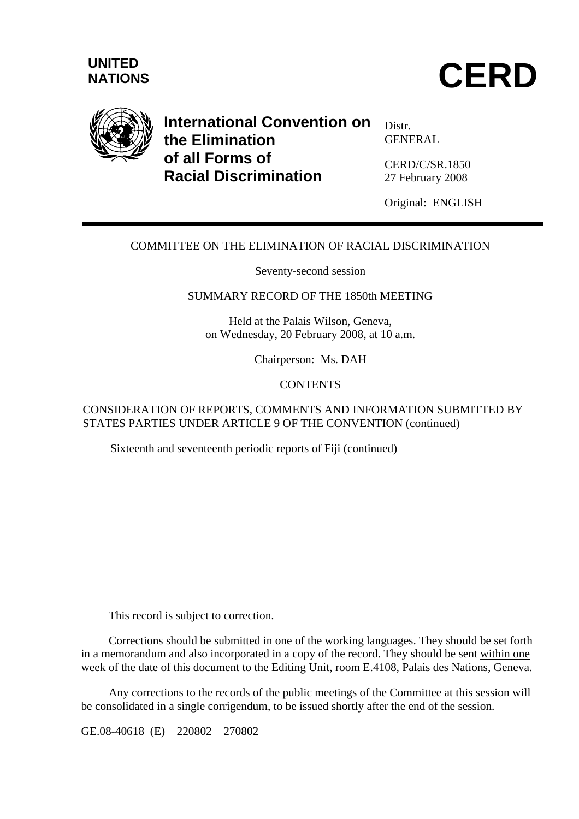



# **International Convention on the Elimination of all Forms of Racial Discrimination**

Distr. GENERAL

CERD/C/SR.1850 27 February 2008

Original: ENGLISH

## COMMITTEE ON THE ELIMINATION OF RACIAL DISCRIMINATION

Seventy-second session

SUMMARY RECORD OF THE 1850th MEETING

Held at the Palais Wilson, Geneva, on Wednesday, 20 February 2008, at 10 a.m.

Chairperson: Ms. DAH

**CONTENTS** 

CONSIDERATION OF REPORTS, COMMENTS AND INFORMATION SUBMITTED BY STATES PARTIES UNDER ARTICLE 9 OF THE CONVENTION (continued)

Sixteenth and seventeenth periodic reports of Fiji (continued)

This record is subject to correction.

 Corrections should be submitted in one of the working languages. They should be set forth in a memorandum and also incorporated in a copy of the record. They should be sent within one week of the date of this document to the Editing Unit, room E.4108, Palais des Nations, Geneva.

 Any corrections to the records of the public meetings of the Committee at this session will be consolidated in a single corrigendum, to be issued shortly after the end of the session.

GE.08-40618 (E) 220802 270802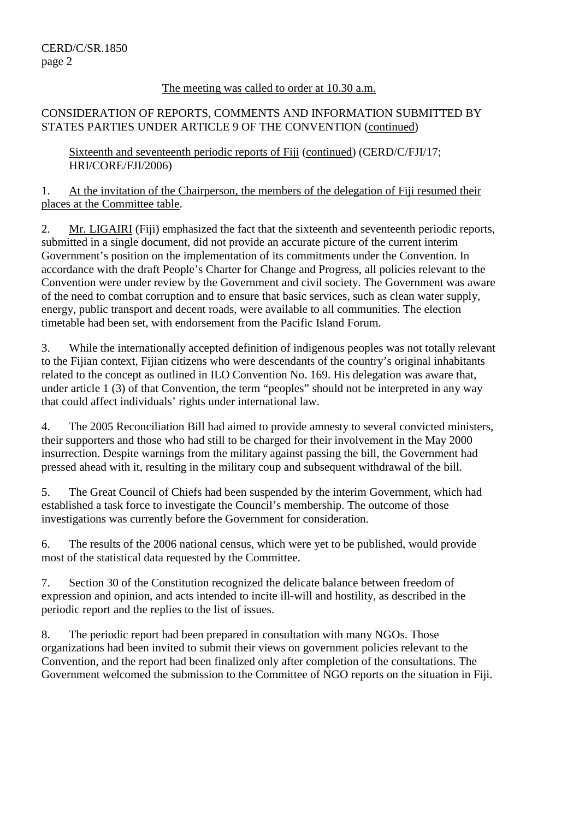#### The meeting was called to order at 10.30 a.m.

## CONSIDERATION OF REPORTS, COMMENTS AND INFORMATION SUBMITTED BY STATES PARTIES UNDER ARTICLE 9 OF THE CONVENTION (continued)

Sixteenth and seventeenth periodic reports of Fiji (continued) (CERD/C/FJI/17; HRI/CORE/FJI/2006)

1. At the invitation of the Chairperson, the members of the delegation of Fiji resumed their places at the Committee table.

2. Mr. LIGAIRI (Fiji) emphasized the fact that the sixteenth and seventeenth periodic reports, submitted in a single document, did not provide an accurate picture of the current interim Government's position on the implementation of its commitments under the Convention. In accordance with the draft People's Charter for Change and Progress, all policies relevant to the Convention were under review by the Government and civil society. The Government was aware of the need to combat corruption and to ensure that basic services, such as clean water supply, energy, public transport and decent roads, were available to all communities. The election timetable had been set, with endorsement from the Pacific Island Forum.

3. While the internationally accepted definition of indigenous peoples was not totally relevant to the Fijian context, Fijian citizens who were descendants of the country's original inhabitants related to the concept as outlined in ILO Convention No. 169. His delegation was aware that, under article 1 (3) of that Convention, the term "peoples" should not be interpreted in any way that could affect individuals' rights under international law.

4. The 2005 Reconciliation Bill had aimed to provide amnesty to several convicted ministers, their supporters and those who had still to be charged for their involvement in the May 2000 insurrection. Despite warnings from the military against passing the bill, the Government had pressed ahead with it, resulting in the military coup and subsequent withdrawal of the bill.

5. The Great Council of Chiefs had been suspended by the interim Government, which had established a task force to investigate the Council's membership. The outcome of those investigations was currently before the Government for consideration.

6. The results of the 2006 national census, which were yet to be published, would provide most of the statistical data requested by the Committee.

7. Section 30 of the Constitution recognized the delicate balance between freedom of expression and opinion, and acts intended to incite ill-will and hostility, as described in the periodic report and the replies to the list of issues.

8. The periodic report had been prepared in consultation with many NGOs. Those organizations had been invited to submit their views on government policies relevant to the Convention, and the report had been finalized only after completion of the consultations. The Government welcomed the submission to the Committee of NGO reports on the situation in Fiji.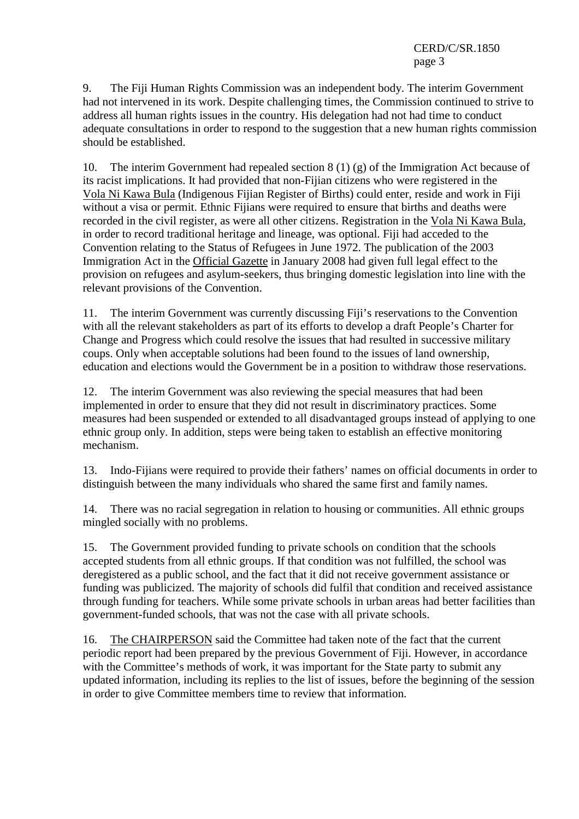9. The Fiji Human Rights Commission was an independent body. The interim Government had not intervened in its work. Despite challenging times, the Commission continued to strive to address all human rights issues in the country. His delegation had not had time to conduct adequate consultations in order to respond to the suggestion that a new human rights commission should be established.

10. The interim Government had repealed section 8 (1) (g) of the Immigration Act because of its racist implications. It had provided that non-Fijian citizens who were registered in the Vola Ni Kawa Bula (Indigenous Fijian Register of Births) could enter, reside and work in Fiji without a visa or permit. Ethnic Fijians were required to ensure that births and deaths were recorded in the civil register, as were all other citizens. Registration in the Vola Ni Kawa Bula, in order to record traditional heritage and lineage, was optional. Fiji had acceded to the Convention relating to the Status of Refugees in June 1972. The publication of the 2003 Immigration Act in the Official Gazette in January 2008 had given full legal effect to the provision on refugees and asylum-seekers, thus bringing domestic legislation into line with the relevant provisions of the Convention.

11. The interim Government was currently discussing Fiji's reservations to the Convention with all the relevant stakeholders as part of its efforts to develop a draft People's Charter for Change and Progress which could resolve the issues that had resulted in successive military coups. Only when acceptable solutions had been found to the issues of land ownership, education and elections would the Government be in a position to withdraw those reservations.

12. The interim Government was also reviewing the special measures that had been implemented in order to ensure that they did not result in discriminatory practices. Some measures had been suspended or extended to all disadvantaged groups instead of applying to one ethnic group only. In addition, steps were being taken to establish an effective monitoring mechanism.

13. Indo-Fijians were required to provide their fathers' names on official documents in order to distinguish between the many individuals who shared the same first and family names.

14. There was no racial segregation in relation to housing or communities. All ethnic groups mingled socially with no problems.

15. The Government provided funding to private schools on condition that the schools accepted students from all ethnic groups. If that condition was not fulfilled, the school was deregistered as a public school, and the fact that it did not receive government assistance or funding was publicized. The majority of schools did fulfil that condition and received assistance through funding for teachers. While some private schools in urban areas had better facilities than government-funded schools, that was not the case with all private schools.

16. The CHAIRPERSON said the Committee had taken note of the fact that the current periodic report had been prepared by the previous Government of Fiji. However, in accordance with the Committee's methods of work, it was important for the State party to submit any updated information, including its replies to the list of issues, before the beginning of the session in order to give Committee members time to review that information.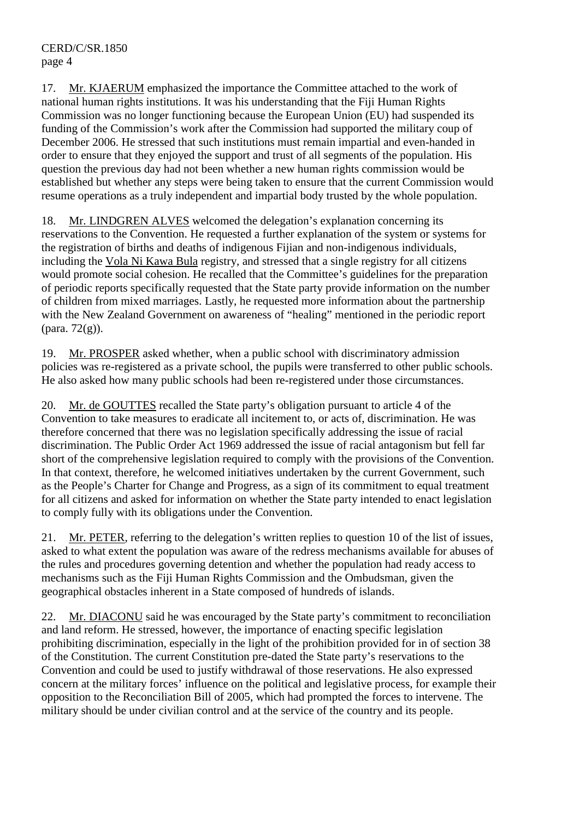17. Mr. KJAERUM emphasized the importance the Committee attached to the work of national human rights institutions. It was his understanding that the Fiji Human Rights Commission was no longer functioning because the European Union (EU) had suspended its funding of the Commission's work after the Commission had supported the military coup of December 2006. He stressed that such institutions must remain impartial and even-handed in order to ensure that they enjoyed the support and trust of all segments of the population. His question the previous day had not been whether a new human rights commission would be established but whether any steps were being taken to ensure that the current Commission would resume operations as a truly independent and impartial body trusted by the whole population.

18. Mr. LINDGREN ALVES welcomed the delegation's explanation concerning its reservations to the Convention. He requested a further explanation of the system or systems for the registration of births and deaths of indigenous Fijian and non-indigenous individuals, including the Vola Ni Kawa Bula registry, and stressed that a single registry for all citizens would promote social cohesion. He recalled that the Committee's guidelines for the preparation of periodic reports specifically requested that the State party provide information on the number of children from mixed marriages. Lastly, he requested more information about the partnership with the New Zealand Government on awareness of "healing" mentioned in the periodic report  $(\text{para. } 72(g)).$ 

19. Mr. PROSPER asked whether, when a public school with discriminatory admission policies was re-registered as a private school, the pupils were transferred to other public schools. He also asked how many public schools had been re-registered under those circumstances.

20. Mr. de GOUTTES recalled the State party's obligation pursuant to article 4 of the Convention to take measures to eradicate all incitement to, or acts of, discrimination. He was therefore concerned that there was no legislation specifically addressing the issue of racial discrimination. The Public Order Act 1969 addressed the issue of racial antagonism but fell far short of the comprehensive legislation required to comply with the provisions of the Convention. In that context, therefore, he welcomed initiatives undertaken by the current Government, such as the People's Charter for Change and Progress, as a sign of its commitment to equal treatment for all citizens and asked for information on whether the State party intended to enact legislation to comply fully with its obligations under the Convention.

21. Mr. PETER, referring to the delegation's written replies to question 10 of the list of issues, asked to what extent the population was aware of the redress mechanisms available for abuses of the rules and procedures governing detention and whether the population had ready access to mechanisms such as the Fiji Human Rights Commission and the Ombudsman, given the geographical obstacles inherent in a State composed of hundreds of islands.

22. Mr. DIACONU said he was encouraged by the State party's commitment to reconciliation and land reform. He stressed, however, the importance of enacting specific legislation prohibiting discrimination, especially in the light of the prohibition provided for in of section 38 of the Constitution. The current Constitution pre-dated the State party's reservations to the Convention and could be used to justify withdrawal of those reservations. He also expressed concern at the military forces' influence on the political and legislative process, for example their opposition to the Reconciliation Bill of 2005, which had prompted the forces to intervene. The military should be under civilian control and at the service of the country and its people.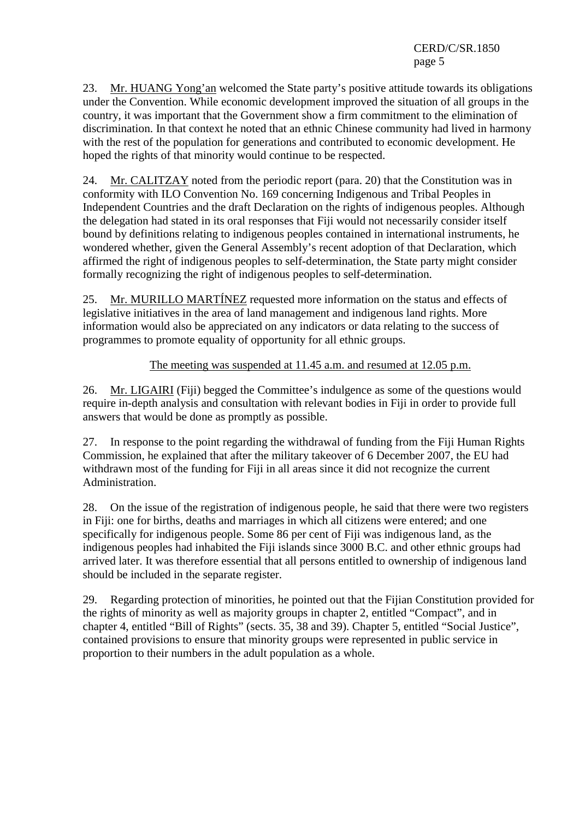23. Mr. HUANG Yong'an welcomed the State party's positive attitude towards its obligations under the Convention. While economic development improved the situation of all groups in the country, it was important that the Government show a firm commitment to the elimination of discrimination. In that context he noted that an ethnic Chinese community had lived in harmony with the rest of the population for generations and contributed to economic development. He hoped the rights of that minority would continue to be respected.

24. Mr. CALITZAY noted from the periodic report (para. 20) that the Constitution was in conformity with ILO Convention No. 169 concerning Indigenous and Tribal Peoples in Independent Countries and the draft Declaration on the rights of indigenous peoples. Although the delegation had stated in its oral responses that Fiji would not necessarily consider itself bound by definitions relating to indigenous peoples contained in international instruments, he wondered whether, given the General Assembly's recent adoption of that Declaration, which affirmed the right of indigenous peoples to self-determination, the State party might consider formally recognizing the right of indigenous peoples to self-determination.

25. Mr. MURILLO MARTÍNEZ requested more information on the status and effects of legislative initiatives in the area of land management and indigenous land rights. More information would also be appreciated on any indicators or data relating to the success of programmes to promote equality of opportunity for all ethnic groups.

The meeting was suspended at 11.45 a.m. and resumed at 12.05 p.m.

26. Mr. LIGAIRI (Fiji) begged the Committee's indulgence as some of the questions would require in-depth analysis and consultation with relevant bodies in Fiji in order to provide full answers that would be done as promptly as possible.

27. In response to the point regarding the withdrawal of funding from the Fiji Human Rights Commission, he explained that after the military takeover of 6 December 2007, the EU had withdrawn most of the funding for Fiji in all areas since it did not recognize the current Administration.

28. On the issue of the registration of indigenous people, he said that there were two registers in Fiji: one for births, deaths and marriages in which all citizens were entered; and one specifically for indigenous people. Some 86 per cent of Fiji was indigenous land, as the indigenous peoples had inhabited the Fiji islands since 3000 B.C. and other ethnic groups had arrived later. It was therefore essential that all persons entitled to ownership of indigenous land should be included in the separate register.

29. Regarding protection of minorities, he pointed out that the Fijian Constitution provided for the rights of minority as well as majority groups in chapter 2, entitled "Compact", and in chapter 4, entitled "Bill of Rights" (sects. 35, 38 and 39). Chapter 5, entitled "Social Justice", contained provisions to ensure that minority groups were represented in public service in proportion to their numbers in the adult population as a whole.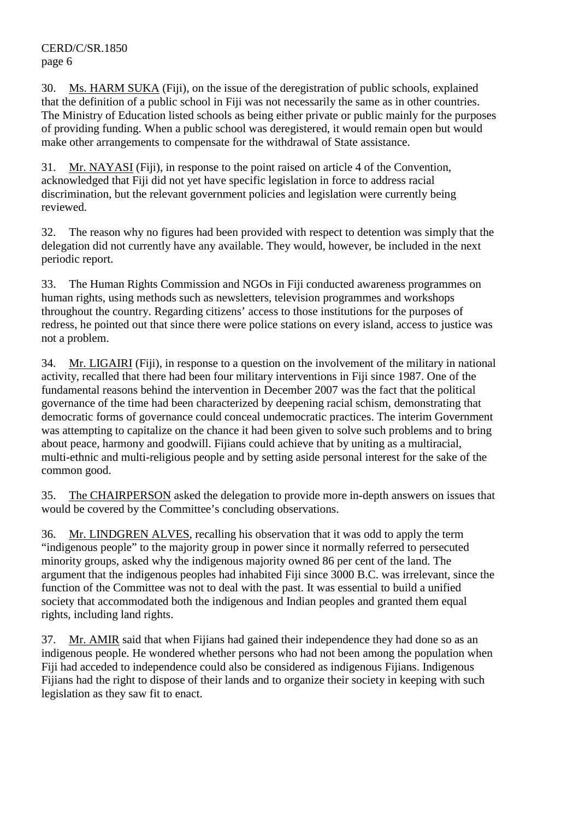#### CERD/C/SR.1850 page 6

30. Ms. HARM SUKA (Fiji), on the issue of the deregistration of public schools, explained that the definition of a public school in Fiji was not necessarily the same as in other countries. The Ministry of Education listed schools as being either private or public mainly for the purposes of providing funding. When a public school was deregistered, it would remain open but would make other arrangements to compensate for the withdrawal of State assistance.

31. Mr. NAYASI (Fiji), in response to the point raised on article 4 of the Convention, acknowledged that Fiji did not yet have specific legislation in force to address racial discrimination, but the relevant government policies and legislation were currently being reviewed.

32. The reason why no figures had been provided with respect to detention was simply that the delegation did not currently have any available. They would, however, be included in the next periodic report.

33. The Human Rights Commission and NGOs in Fiji conducted awareness programmes on human rights, using methods such as newsletters, television programmes and workshops throughout the country. Regarding citizens' access to those institutions for the purposes of redress, he pointed out that since there were police stations on every island, access to justice was not a problem.

34. Mr. LIGAIRI (Fiji), in response to a question on the involvement of the military in national activity, recalled that there had been four military interventions in Fiji since 1987. One of the fundamental reasons behind the intervention in December 2007 was the fact that the political governance of the time had been characterized by deepening racial schism, demonstrating that democratic forms of governance could conceal undemocratic practices. The interim Government was attempting to capitalize on the chance it had been given to solve such problems and to bring about peace, harmony and goodwill. Fijians could achieve that by uniting as a multiracial, multi-ethnic and multi-religious people and by setting aside personal interest for the sake of the common good.

35. The CHAIRPERSON asked the delegation to provide more in-depth answers on issues that would be covered by the Committee's concluding observations.

36. Mr. LINDGREN ALVES, recalling his observation that it was odd to apply the term "indigenous people" to the majority group in power since it normally referred to persecuted minority groups, asked why the indigenous majority owned 86 per cent of the land. The argument that the indigenous peoples had inhabited Fiji since 3000 B.C. was irrelevant, since the function of the Committee was not to deal with the past. It was essential to build a unified society that accommodated both the indigenous and Indian peoples and granted them equal rights, including land rights.

37. Mr. AMIR said that when Fijians had gained their independence they had done so as an indigenous people. He wondered whether persons who had not been among the population when Fiji had acceded to independence could also be considered as indigenous Fijians. Indigenous Fijians had the right to dispose of their lands and to organize their society in keeping with such legislation as they saw fit to enact.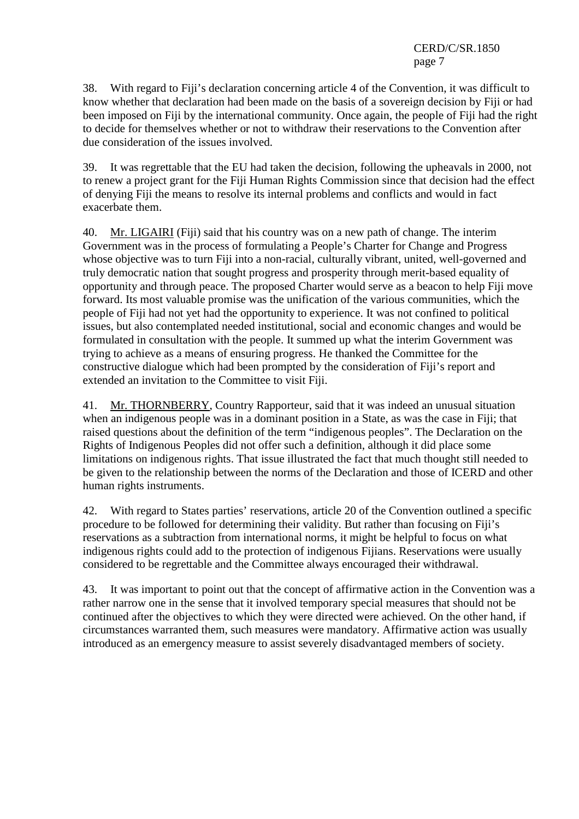CERD/C/SR.1850 page 7

38. With regard to Fiji's declaration concerning article 4 of the Convention, it was difficult to know whether that declaration had been made on the basis of a sovereign decision by Fiji or had been imposed on Fiji by the international community. Once again, the people of Fiji had the right to decide for themselves whether or not to withdraw their reservations to the Convention after due consideration of the issues involved.

39. It was regrettable that the EU had taken the decision, following the upheavals in 2000, not to renew a project grant for the Fiji Human Rights Commission since that decision had the effect of denying Fiji the means to resolve its internal problems and conflicts and would in fact exacerbate them.

40. Mr. LIGAIRI (Fiji) said that his country was on a new path of change. The interim Government was in the process of formulating a People's Charter for Change and Progress whose objective was to turn Fiji into a non-racial, culturally vibrant, united, well-governed and truly democratic nation that sought progress and prosperity through merit-based equality of opportunity and through peace. The proposed Charter would serve as a beacon to help Fiji move forward. Its most valuable promise was the unification of the various communities, which the people of Fiji had not yet had the opportunity to experience. It was not confined to political issues, but also contemplated needed institutional, social and economic changes and would be formulated in consultation with the people. It summed up what the interim Government was trying to achieve as a means of ensuring progress. He thanked the Committee for the constructive dialogue which had been prompted by the consideration of Fiji's report and extended an invitation to the Committee to visit Fiji.

41. Mr. THORNBERRY, Country Rapporteur, said that it was indeed an unusual situation when an indigenous people was in a dominant position in a State, as was the case in Fiji; that raised questions about the definition of the term "indigenous peoples". The Declaration on the Rights of Indigenous Peoples did not offer such a definition, although it did place some limitations on indigenous rights. That issue illustrated the fact that much thought still needed to be given to the relationship between the norms of the Declaration and those of ICERD and other human rights instruments.

42. With regard to States parties' reservations, article 20 of the Convention outlined a specific procedure to be followed for determining their validity. But rather than focusing on Fiji's reservations as a subtraction from international norms, it might be helpful to focus on what indigenous rights could add to the protection of indigenous Fijians. Reservations were usually considered to be regrettable and the Committee always encouraged their withdrawal.

43. It was important to point out that the concept of affirmative action in the Convention was a rather narrow one in the sense that it involved temporary special measures that should not be continued after the objectives to which they were directed were achieved. On the other hand, if circumstances warranted them, such measures were mandatory. Affirmative action was usually introduced as an emergency measure to assist severely disadvantaged members of society.